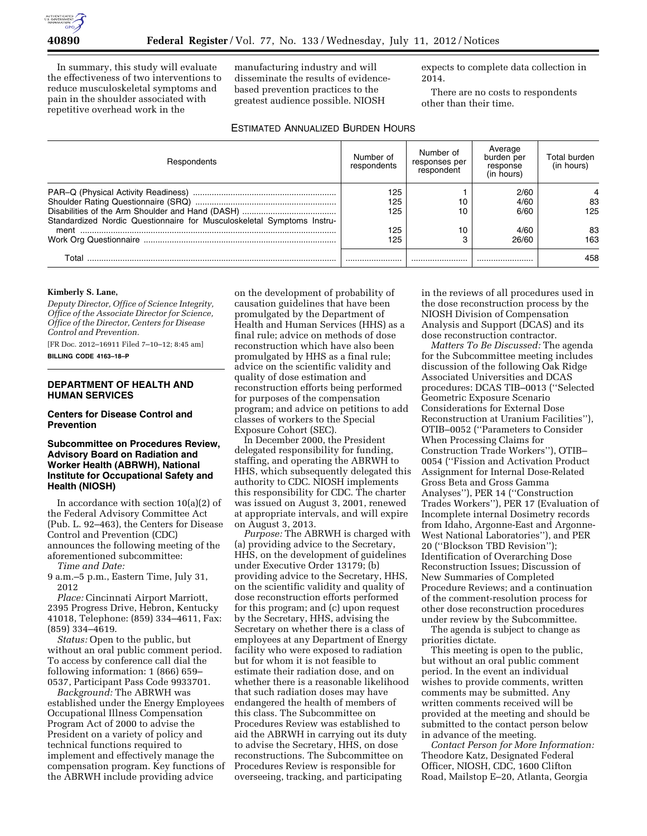

In summary, this study will evaluate the effectiveness of two interventions to reduce musculoskeletal symptoms and pain in the shoulder associated with repetitive overhead work in the

manufacturing industry and will disseminate the results of evidencebased prevention practices to the greatest audience possible. NIOSH

expects to complete data collection in 2014.

There are no costs to respondents other than their time.

# ESTIMATED ANNUALIZED BURDEN HOURS

| Respondents                                                            | Number of<br>respondents | Number of<br>responses per<br>respondent | Average<br>burden per<br>response<br>(in hours) | Total burden<br>(in hours) |
|------------------------------------------------------------------------|--------------------------|------------------------------------------|-------------------------------------------------|----------------------------|
| Standardized Nordic Questionnaire for Musculoskeletal Symptoms Instru- | 125<br>125<br>125        | 10<br>10                                 | 2/60<br>4/60<br>6/60                            | 83<br>125                  |
|                                                                        | 125<br>125               | 10<br>З                                  | 4/60<br>26/60                                   | 83<br>163                  |
| Total                                                                  |                          |                                          |                                                 | 458                        |

#### **Kimberly S. Lane,**

*Deputy Director, Office of Science Integrity, Office of the Associate Director for Science, Office of the Director, Centers for Disease Control and Prevention.* 

[FR Doc. 2012–16911 Filed 7–10–12; 8:45 am]

**BILLING CODE 4163–18–P** 

## **DEPARTMENT OF HEALTH AND HUMAN SERVICES**

### **Centers for Disease Control and Prevention**

## **Subcommittee on Procedures Review, Advisory Board on Radiation and Worker Health (ABRWH), National Institute for Occupational Safety and Health (NIOSH)**

In accordance with section 10(a)(2) of the Federal Advisory Committee Act (Pub. L. 92–463), the Centers for Disease Control and Prevention (CDC) announces the following meeting of the aforementioned subcommittee: *Time and Date:* 

9 a.m.–5 p.m., Eastern Time, July 31, 2012

*Place:* Cincinnati Airport Marriott, 2395 Progress Drive, Hebron, Kentucky 41018, Telephone: (859) 334–4611, Fax: (859) 334–4619.

*Status:* Open to the public, but without an oral public comment period. To access by conference call dial the following information: 1 (866) 659– 0537, Participant Pass Code 9933701.

*Background:* The ABRWH was established under the Energy Employees Occupational Illness Compensation Program Act of 2000 to advise the President on a variety of policy and technical functions required to implement and effectively manage the compensation program. Key functions of the ABRWH include providing advice

on the development of probability of causation guidelines that have been promulgated by the Department of Health and Human Services (HHS) as a final rule; advice on methods of dose reconstruction which have also been promulgated by HHS as a final rule; advice on the scientific validity and quality of dose estimation and reconstruction efforts being performed for purposes of the compensation program; and advice on petitions to add classes of workers to the Special Exposure Cohort (SEC).

In December 2000, the President delegated responsibility for funding, staffing, and operating the ABRWH to HHS, which subsequently delegated this authority to CDC. NIOSH implements this responsibility for CDC. The charter was issued on August 3, 2001, renewed at appropriate intervals, and will expire on August 3, 2013.

*Purpose:* The ABRWH is charged with (a) providing advice to the Secretary, HHS, on the development of guidelines under Executive Order 13179; (b) providing advice to the Secretary, HHS, on the scientific validity and quality of dose reconstruction efforts performed for this program; and (c) upon request by the Secretary, HHS, advising the Secretary on whether there is a class of employees at any Department of Energy facility who were exposed to radiation but for whom it is not feasible to estimate their radiation dose, and on whether there is a reasonable likelihood that such radiation doses may have endangered the health of members of this class. The Subcommittee on Procedures Review was established to aid the ABRWH in carrying out its duty to advise the Secretary, HHS, on dose reconstructions. The Subcommittee on Procedures Review is responsible for overseeing, tracking, and participating

in the reviews of all procedures used in the dose reconstruction process by the NIOSH Division of Compensation Analysis and Support (DCAS) and its dose reconstruction contractor.

*Matters To Be Discussed:* The agenda for the Subcommittee meeting includes discussion of the following Oak Ridge Associated Universities and DCAS procedures: DCAS TIB–0013 (''Selected Geometric Exposure Scenario Considerations for External Dose Reconstruction at Uranium Facilities''), OTIB–0052 (''Parameters to Consider When Processing Claims for Construction Trade Workers''), OTIB– 0054 (''Fission and Activation Product Assignment for Internal Dose-Related Gross Beta and Gross Gamma Analyses''), PER 14 (''Construction Trades Workers''), PER 17 (Evaluation of Incomplete internal Dosimetry records from Idaho, Argonne-East and Argonne-West National Laboratories''), and PER 20 (''Blockson TBD Revision''); Identification of Overarching Dose Reconstruction Issues; Discussion of New Summaries of Completed Procedure Reviews; and a continuation of the comment-resolution process for other dose reconstruction procedures under review by the Subcommittee.

The agenda is subject to change as priorities dictate.

This meeting is open to the public, but without an oral public comment period. In the event an individual wishes to provide comments, written comments may be submitted. Any written comments received will be provided at the meeting and should be submitted to the contact person below in advance of the meeting.

*Contact Person for More Information:*  Theodore Katz, Designated Federal Officer, NIOSH, CDC, 1600 Clifton Road, Mailstop E–20, Atlanta, Georgia